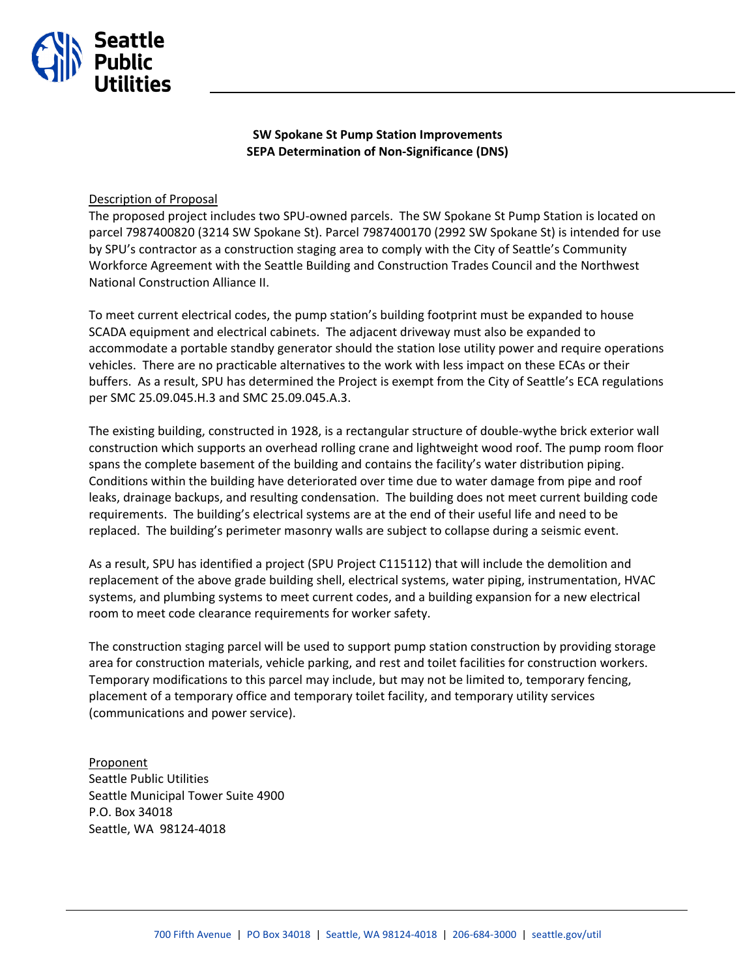

**SW Spokane St Pump Station Improvements SEPA Determination of Non-Significance (DNS)**

## Description of Proposal

The proposed project includes two SPU-owned parcels. The SW Spokane St Pump Station is located on parcel 7987400820 (3214 SW Spokane St). Parcel 7987400170 (2992 SW Spokane St) is intended for use by SPU's contractor as a construction staging area to comply with the City of Seattle's Community Workforce Agreement with the Seattle Building and Construction Trades Council and the Northwest National Construction Alliance II.

To meet current electrical codes, the pump station's building footprint must be expanded to house SCADA equipment and electrical cabinets. The adjacent driveway must also be expanded to accommodate a portable standby generator should the station lose utility power and require operations vehicles. There are no practicable alternatives to the work with less impact on these ECAs or their buffers. As a result, SPU has determined the Project is exempt from the City of Seattle's ECA regulations per SMC 25.09.045.H.3 and SMC 25.09.045.A.3.

The existing building, constructed in 1928, is a rectangular structure of double-wythe brick exterior wall construction which supports an overhead rolling crane and lightweight wood roof. The pump room floor spans the complete basement of the building and contains the facility's water distribution piping. Conditions within the building have deteriorated over time due to water damage from pipe and roof leaks, drainage backups, and resulting condensation. The building does not meet current building code requirements. The building's electrical systems are at the end of their useful life and need to be replaced. The building's perimeter masonry walls are subject to collapse during a seismic event.

As a result, SPU has identified a project (SPU Project C115112) that will include the demolition and replacement of the above grade building shell, electrical systems, water piping, instrumentation, HVAC systems, and plumbing systems to meet current codes, and a building expansion for a new electrical room to meet code clearance requirements for worker safety.

The construction staging parcel will be used to support pump station construction by providing storage area for construction materials, vehicle parking, and rest and toilet facilities for construction workers. Temporary modifications to this parcel may include, but may not be limited to, temporary fencing, placement of a temporary office and temporary toilet facility, and temporary utility services (communications and power service).

Proponent Seattle Public Utilities Seattle Municipal Tower Suite 4900 P.O. Box 34018 Seattle, WA 98124-4018